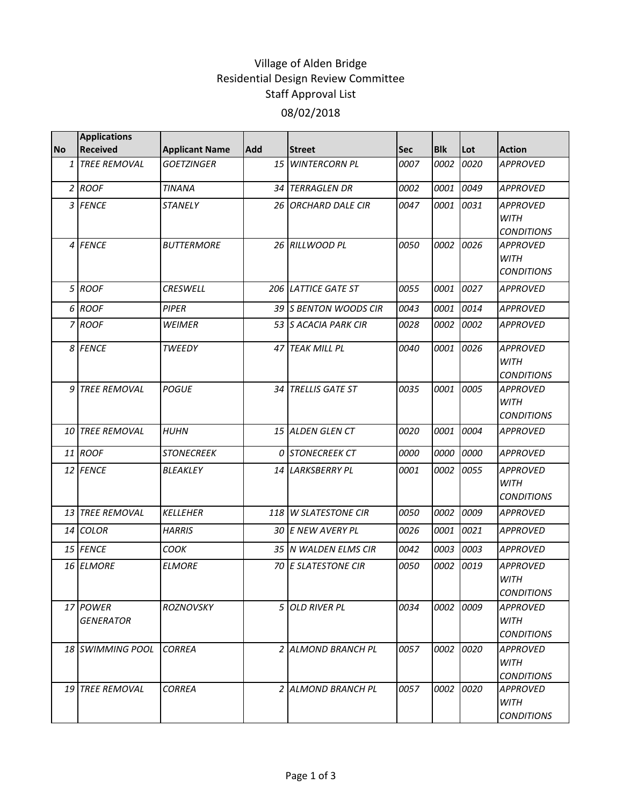## Village of Alden Bridge Residential Design Review Committee Staff Approval List 08/02/2018

|           | <b>Applications</b>          |                       |     |                         |             |            |      |                                                     |
|-----------|------------------------------|-----------------------|-----|-------------------------|-------------|------------|------|-----------------------------------------------------|
| <b>No</b> | <b>Received</b>              | <b>Applicant Name</b> | Add | <b>Street</b>           | <b>Sec</b>  | <b>Blk</b> | Lot  | <b>Action</b>                                       |
|           | 1 TREE REMOVAL               | <b>GOETZINGER</b>     | 15  | <b>WINTERCORN PL</b>    | 0007        | 0002       | 0020 | <b>APPROVED</b>                                     |
|           | $2$ ROOF                     | <b>TINANA</b>         | 34  | <b>TERRAGLEN DR</b>     | 0002        | 0001       | 0049 | <b>APPROVED</b>                                     |
|           | 3 FENCE                      | <b>STANELY</b>        |     | 26 ORCHARD DALE CIR     | 0047        | 0001       | 0031 | <b>APPROVED</b><br><b>WITH</b><br><b>CONDITIONS</b> |
|           | 4 FENCE                      | <b>BUTTERMORE</b>     |     | 26 RILLWOOD PL          | 0050        | 0002       | 0026 | <b>APPROVED</b><br><b>WITH</b><br><b>CONDITIONS</b> |
|           | 5 ROOF                       | <b>CRESWELL</b>       |     | 206 LATTICE GATE ST     | 0055        | 0001       | 0027 | <b>APPROVED</b>                                     |
|           | 6 ROOF                       | <b>PIPER</b>          |     | 39 S BENTON WOODS CIR   | 0043        | 0001       | 0014 | <b>APPROVED</b>                                     |
|           | 7 ROOF                       | <b>WEIMER</b>         |     | 53 S ACACIA PARK CIR    | 0028        | 0002       | 0002 | <b>APPROVED</b>                                     |
|           | 8 FENCE                      | <b>TWEEDY</b>         |     | 47 TEAK MILL PL         | 0040        | 0001       | 0026 | <b>APPROVED</b><br><b>WITH</b><br><b>CONDITIONS</b> |
|           | 9 TREE REMOVAL               | <b>POGUE</b>          |     | 34 TRELLIS GATE ST      | 0035        | 0001       | 0005 | <b>APPROVED</b><br><b>WITH</b><br><b>CONDITIONS</b> |
|           | <b>10 TREE REMOVAL</b>       | <b>HUHN</b>           |     | <b>15 ALDEN GLEN CT</b> | 0020        | 0001       | 0004 | <b>APPROVED</b>                                     |
|           | 11 ROOF                      | <b>STONECREEK</b>     |     | 0 STONECREEK CT         | 0000        | 0000       | 0000 | <b>APPROVED</b>                                     |
|           | 12 FENCE                     | BLEAKLEY              |     | 14 LARKSBERRY PL        | <i>0001</i> | 0002       | 0055 | <b>APPROVED</b><br><b>WITH</b><br><b>CONDITIONS</b> |
|           | 13 TREE REMOVAL              | <b>KELLEHER</b>       |     | 118 W SLATESTONE CIR    | 0050        | 0002       | 0009 | <b>APPROVED</b>                                     |
|           | 14 COLOR                     | <b>HARRIS</b>         |     | 30 E NEW AVERY PL       | 0026        | 0001       | 0021 | <b>APPROVED</b>                                     |
|           | 15 FENCE                     | COOK                  |     | 35 N WALDEN ELMS CIR    | 0042        | 0003       | 0003 | <b>APPROVED</b>                                     |
|           | 16 ELMORE                    | <b>ELMORE</b>         |     | 70 E SLATESTONE CIR     | 0050        | 0002       | 0019 | <b>APPROVED</b><br><b>WITH</b><br><b>CONDITIONS</b> |
|           | 17 POWER<br><b>GENERATOR</b> | <b>ROZNOVSKY</b>      |     | 5 OLD RIVER PL          | 0034        | 0002       | 0009 | APPROVED<br>WITH<br><b>CONDITIONS</b>               |
|           | 18 SWIMMING POOL             | <b>CORREA</b>         |     | 2 ALMOND BRANCH PL      | 0057        | 0002       | 0020 | APPROVED<br><b>WITH</b><br><b>CONDITIONS</b>        |
|           | <b>19 TREE REMOVAL</b>       | <b>CORREA</b>         |     | 2 ALMOND BRANCH PL      | 0057        | 0002       | 0020 | <b>APPROVED</b><br><b>WITH</b><br><b>CONDITIONS</b> |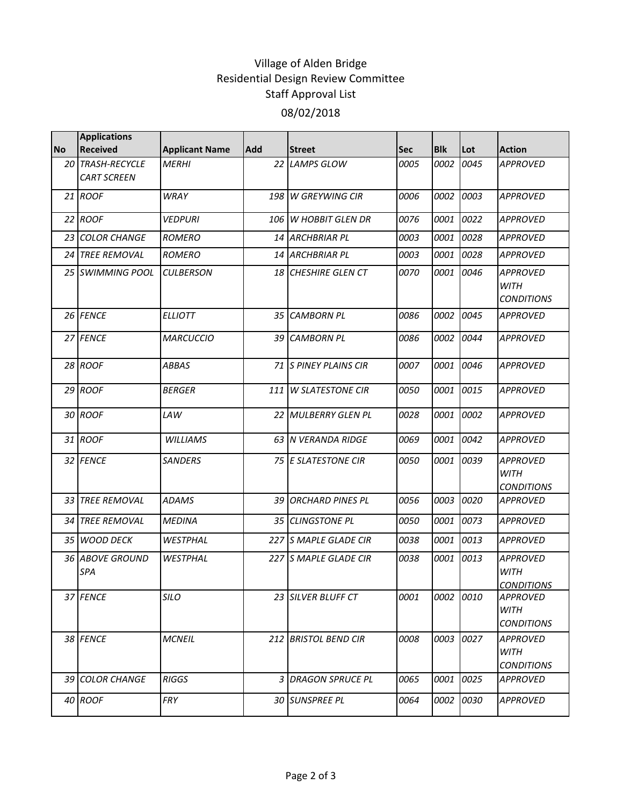## Village of Alden Bridge Residential Design Review Committee Staff Approval List 08/02/2018

|           | <b>Applications</b>           |                       |            |                              |            |            |      |                                                     |
|-----------|-------------------------------|-----------------------|------------|------------------------------|------------|------------|------|-----------------------------------------------------|
| <b>No</b> | <b>Received</b>               | <b>Applicant Name</b> | <b>Add</b> | <b>Street</b>                | <b>Sec</b> | <b>Blk</b> | Lot  | <b>Action</b>                                       |
|           | 20 TRASH-RECYCLE              | <b>MERHI</b>          |            | 22 LAMPS GLOW                | 0005       | 0002       | 0045 | <b>APPROVED</b>                                     |
|           | <b>CART SCREEN</b>            |                       |            |                              |            |            |      |                                                     |
|           | 21 ROOF                       | <b>WRAY</b>           | 198        | <b>W GREYWING CIR</b>        | 0006       | 0002       | 0003 | <b>APPROVED</b>                                     |
|           | 22 ROOF                       | <b>VEDPURI</b>        | 106        | <b>W HOBBIT GLEN DR</b>      | 0076       | 0001       | 0022 | <b>APPROVED</b>                                     |
|           | 23 COLOR CHANGE               | <b>ROMERO</b>         |            | 14 ARCHBRIAR PL              | 0003       | 0001       | 0028 | <b>APPROVED</b>                                     |
|           | 24 TREE REMOVAL               | <b>ROMERO</b>         |            | 14 ARCHBRIAR PL              | 0003       | 0001       | 0028 | <b>APPROVED</b>                                     |
|           | 25 SWIMMING POOL              | <b>CULBERSON</b>      |            | 18 CHESHIRE GLEN CT          | 0070       | 0001       | 0046 | <b>APPROVED</b><br><b>WITH</b><br><b>CONDITIONS</b> |
|           | 26 FENCE                      | <b>ELLIOTT</b>        |            | 35 CAMBORN PL                | 0086       | 0002       | 0045 | <b>APPROVED</b>                                     |
|           | 27 FENCE                      | <b>MARCUCCIO</b>      |            | 39 CAMBORN PL                | 0086       | 0002       | 0044 | <b>APPROVED</b>                                     |
|           | 28 ROOF                       | <b>ABBAS</b>          |            | <b>71 S PINEY PLAINS CIR</b> | 0007       | 0001       | 0046 | <b>APPROVED</b>                                     |
|           | 29 ROOF                       | <b>BERGER</b>         | 111        | <b>W SLATESTONE CIR</b>      | 0050       | 0001       | 0015 | <b>APPROVED</b>                                     |
|           | 30 ROOF                       | LAW                   |            | 22 MULBERRY GLEN PL          | 0028       | 0001       | 0002 | <b>APPROVED</b>                                     |
|           | 31 ROOF                       | <b>WILLIAMS</b>       |            | 63 IN VERANDA RIDGE          | 0069       | 0001       | 0042 | <b>APPROVED</b>                                     |
|           | 32 FENCE                      | <b>SANDERS</b>        |            | 75 E SLATESTONE CIR          | 0050       | 0001       | 0039 | <b>APPROVED</b><br><b>WITH</b><br><b>CONDITIONS</b> |
|           | 33 TREE REMOVAL               | <b>ADAMS</b>          | 39         | <b>ORCHARD PINES PL</b>      | 0056       | 0003       | 0020 | <b>APPROVED</b>                                     |
|           | <b>34 TREE REMOVAL</b>        | <b>MEDINA</b>         |            | 35 CLINGSTONE PL             | 0050       | 0001       | 0073 | <b>APPROVED</b>                                     |
|           | 35 WOOD DECK                  | WESTPHAL              |            | 227 S MAPLE GLADE CIR        | 0038       | 0001       | 0013 | <b>APPROVED</b>                                     |
|           | <b>36 ABOVE GROUND</b><br>SPA | WESTPHAL              |            | 227 S MAPLE GLADE CIR        | 0038       | 0001       | 0013 | <b>APPROVED</b><br><b>WITH</b><br><b>CONDITIONS</b> |
|           | 37 FENCE                      | SILO                  |            | 23 SILVER BLUFF CT           | 0001       | 0002       | 0010 | <b>APPROVED</b><br><b>WITH</b><br><b>CONDITIONS</b> |
|           | 38 FENCE                      | <b>MCNEIL</b>         |            | 212 BRISTOL BEND CIR         | 0008       | 0003       | 0027 | <b>APPROVED</b><br><b>WITH</b><br><b>CONDITIONS</b> |
|           | 39 COLOR CHANGE               | <b>RIGGS</b>          |            | 3 DRAGON SPRUCE PL           | 0065       | 0001       | 0025 | APPROVED                                            |
|           | 40 ROOF                       | FRY                   |            | 30 SUNSPREE PL               | 0064       | 0002       | 0030 | <b>APPROVED</b>                                     |